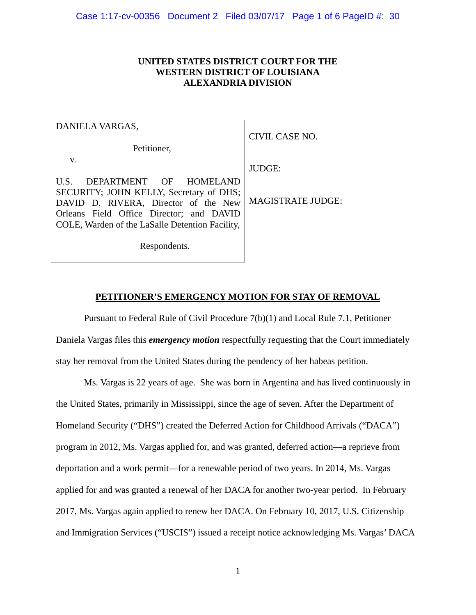## **UNITED STATES DISTRICT COURT FOR THE WESTERN DISTRICT OF LOUISIANA ALEXANDRIA DIVISION**

| DANIELA VARGAS,                                                                                                                                                                                                  | CIVIL CASE NO.           |
|------------------------------------------------------------------------------------------------------------------------------------------------------------------------------------------------------------------|--------------------------|
| Petitioner,                                                                                                                                                                                                      |                          |
| V.                                                                                                                                                                                                               | <b>JUDGE:</b>            |
| DEPARTMENT OF HOMELAND<br>U.S.<br>SECURITY; JOHN KELLY, Secretary of DHS;<br>DAVID D. RIVERA, Director of the New<br>Orleans Field Office Director; and DAVID<br>COLE, Warden of the LaSalle Detention Facility, | <b>MAGISTRATE JUDGE:</b> |
| Respondents.                                                                                                                                                                                                     |                          |

## **PETITIONER'S EMERGENCY MOTION FOR STAY OF REMOVAL**

Pursuant to Federal Rule of Civil Procedure 7(b)(1) and Local Rule 7.1, Petitioner Daniela Vargas files this *emergency motion* respectfully requesting that the Court immediately stay her removal from the United States during the pendency of her habeas petition.

Ms. Vargas is 22 years of age. She was born in Argentina and has lived continuously in the United States, primarily in Mississippi, since the age of seven. After the Department of Homeland Security ("DHS") created the Deferred Action for Childhood Arrivals ("DACA") program in 2012, Ms. Vargas applied for, and was granted, deferred action—a reprieve from deportation and a work permit—for a renewable period of two years. In 2014, Ms. Vargas applied for and was granted a renewal of her DACA for another two-year period. In February 2017, Ms. Vargas again applied to renew her DACA. On February 10, 2017, U.S. Citizenship and Immigration Services ("USCIS") issued a receipt notice acknowledging Ms. Vargas' DACA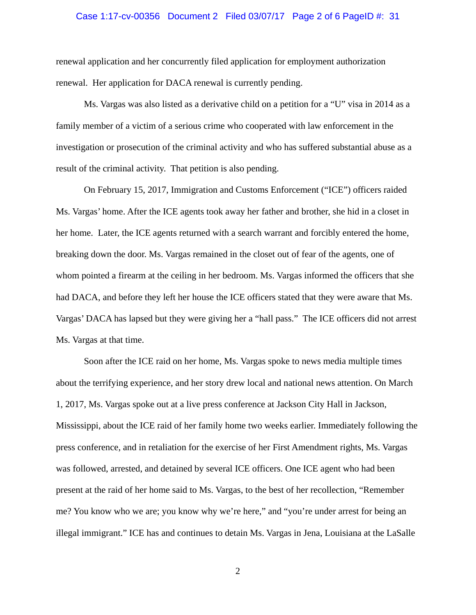## Case 1:17-cv-00356 Document 2 Filed 03/07/17 Page 2 of 6 PageID #: 31

renewal application and her concurrently filed application for employment authorization renewal. Her application for DACA renewal is currently pending.

Ms. Vargas was also listed as a derivative child on a petition for a "U" visa in 2014 as a family member of a victim of a serious crime who cooperated with law enforcement in the investigation or prosecution of the criminal activity and who has suffered substantial abuse as a result of the criminal activity. That petition is also pending.

On February 15, 2017, Immigration and Customs Enforcement ("ICE") officers raided Ms. Vargas' home. After the ICE agents took away her father and brother, she hid in a closet in her home. Later, the ICE agents returned with a search warrant and forcibly entered the home, breaking down the door. Ms. Vargas remained in the closet out of fear of the agents, one of whom pointed a firearm at the ceiling in her bedroom. Ms. Vargas informed the officers that she had DACA, and before they left her house the ICE officers stated that they were aware that Ms. Vargas' DACA has lapsed but they were giving her a "hall pass." The ICE officers did not arrest Ms. Vargas at that time.

Soon after the ICE raid on her home, Ms. Vargas spoke to news media multiple times about the terrifying experience, and her story drew local and national news attention. On March 1, 2017, Ms. Vargas spoke out at a live press conference at Jackson City Hall in Jackson, Mississippi, about the ICE raid of her family home two weeks earlier. Immediately following the press conference, and in retaliation for the exercise of her First Amendment rights, Ms. Vargas was followed, arrested, and detained by several ICE officers. One ICE agent who had been present at the raid of her home said to Ms. Vargas, to the best of her recollection, "Remember me? You know who we are; you know why we're here," and "you're under arrest for being an illegal immigrant." ICE has and continues to detain Ms. Vargas in Jena, Louisiana at the LaSalle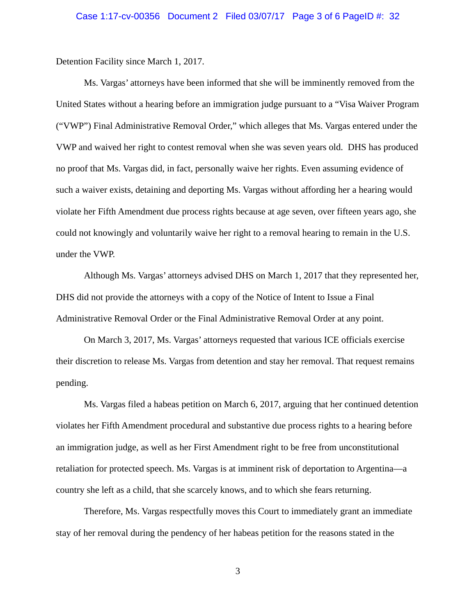Detention Facility since March 1, 2017.

Ms. Vargas' attorneys have been informed that she will be imminently removed from the United States without a hearing before an immigration judge pursuant to a "Visa Waiver Program ("VWP") Final Administrative Removal Order," which alleges that Ms. Vargas entered under the VWP and waived her right to contest removal when she was seven years old. DHS has produced no proof that Ms. Vargas did, in fact, personally waive her rights. Even assuming evidence of such a waiver exists, detaining and deporting Ms. Vargas without affording her a hearing would violate her Fifth Amendment due process rights because at age seven, over fifteen years ago, she could not knowingly and voluntarily waive her right to a removal hearing to remain in the U.S. under the VWP.

Although Ms. Vargas' attorneys advised DHS on March 1, 2017 that they represented her, DHS did not provide the attorneys with a copy of the Notice of Intent to Issue a Final Administrative Removal Order or the Final Administrative Removal Order at any point.

On March 3, 2017, Ms. Vargas' attorneys requested that various ICE officials exercise their discretion to release Ms. Vargas from detention and stay her removal. That request remains pending.

Ms. Vargas filed a habeas petition on March 6, 2017, arguing that her continued detention violates her Fifth Amendment procedural and substantive due process rights to a hearing before an immigration judge, as well as her First Amendment right to be free from unconstitutional retaliation for protected speech. Ms. Vargas is at imminent risk of deportation to Argentina—a country she left as a child, that she scarcely knows, and to which she fears returning.

Therefore, Ms. Vargas respectfully moves this Court to immediately grant an immediate stay of her removal during the pendency of her habeas petition for the reasons stated in the

3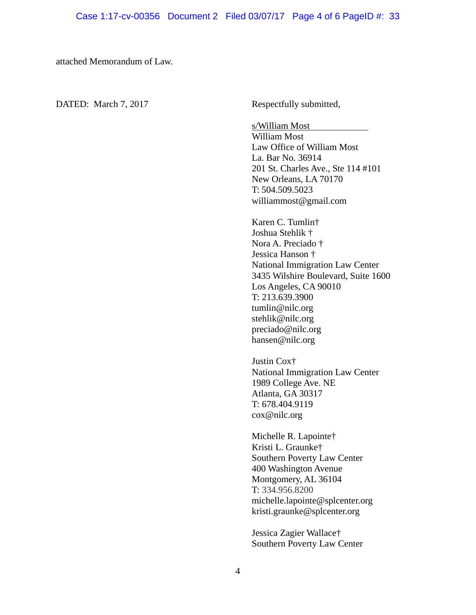attached Memorandum of Law.

DATED: March 7, 2017 Respectfully submitted,

s/William Most

William Most Law Office of William Most La. Bar No. 36914 201 St. Charles Ave., Ste 114 #101 New Orleans, LA 70170 T: 504.509.5023 williammost@gmail.com

Karen C. Tumlin† Joshua Stehlik † Nora A. Preciado † Jessica Hanson † National Immigration Law Center 3435 Wilshire Boulevard, Suite 1600 Los Angeles, CA 90010 T: 213.639.3900 tumlin@nilc.org stehlik@nilc.org preciado@nilc.org hansen@nilc.org

Justin Cox† National Immigration Law Center 1989 College Ave. NE Atlanta, GA 30317 T: 678.404.9119 cox@nilc.org

Michelle R. Lapointe† Kristi L. Graunke† Southern Poverty Law Center 400 Washington Avenue Montgomery, AL 36104 T: 334.956.8200 michelle.lapointe@splcenter.org kristi.graunke@splcenter.org

Jessica Zagier Wallace† Southern Poverty Law Center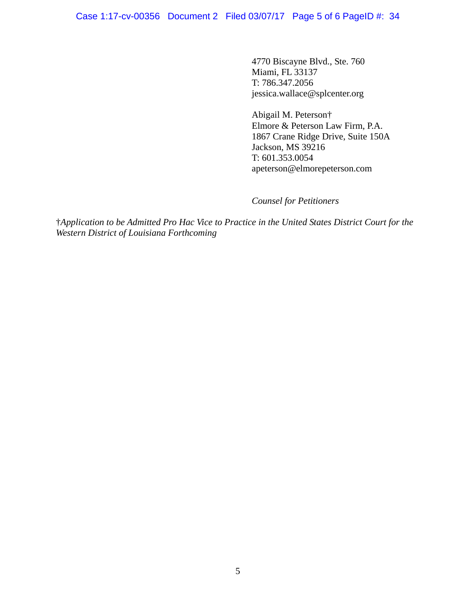Case 1:17-cv-00356 Document 2 Filed 03/07/17 Page 5 of 6 PageID #: 34

4770 Biscayne Blvd., Ste. 760 Miami, FL 33137 T: 786.347.2056 jessica.wallace@splcenter.org

Abigail M. Peterson† Elmore & Peterson Law Firm, P.A. 1867 Crane Ridge Drive, Suite 150A Jackson, MS 39216 T: 601.353.0054 apeterson@elmorepeterson.com

*Counsel for Petitioners*

†*Application to be Admitted Pro Hac Vice to Practice in the United States District Court for the Western District of Louisiana Forthcoming*